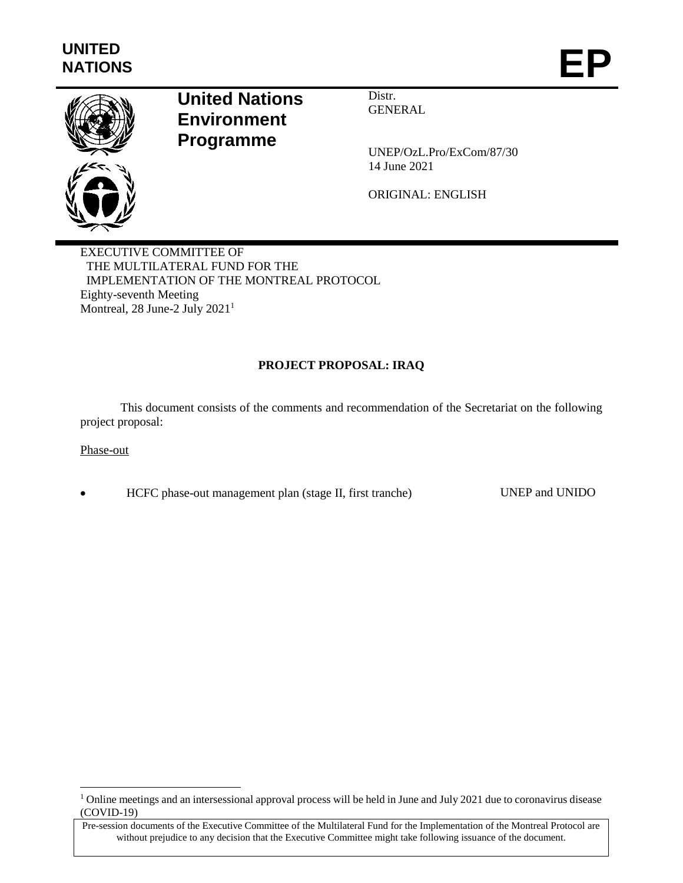

# **United Nations Environment Programme**

Distr. **GENERAL** 

UNEP/OzL.Pro/ExCom/87/30 14 June 2021

ORIGINAL: ENGLISH

EXECUTIVE COMMITTEE OF THE MULTILATERAL FUND FOR THE IMPLEMENTATION OF THE MONTREAL PROTOCOL Eighty-seventh Meeting Montreal, 28 June-2 July 2021<sup>1</sup>

# **PROJECT PROPOSAL: IRAQ**

This document consists of the comments and recommendation of the Secretariat on the following project proposal:

#### Phase-out

l

HCFC phase-out management plan (stage II, first tranche) UNEP and UNIDO

<sup>&</sup>lt;sup>1</sup> Online meetings and an intersessional approval process will be held in June and July 2021 due to coronavirus disease (COVID-19)

Pre-session documents of the Executive Committee of the Multilateral Fund for the Implementation of the Montreal Protocol are without prejudice to any decision that the Executive Committee might take following issuance of the document.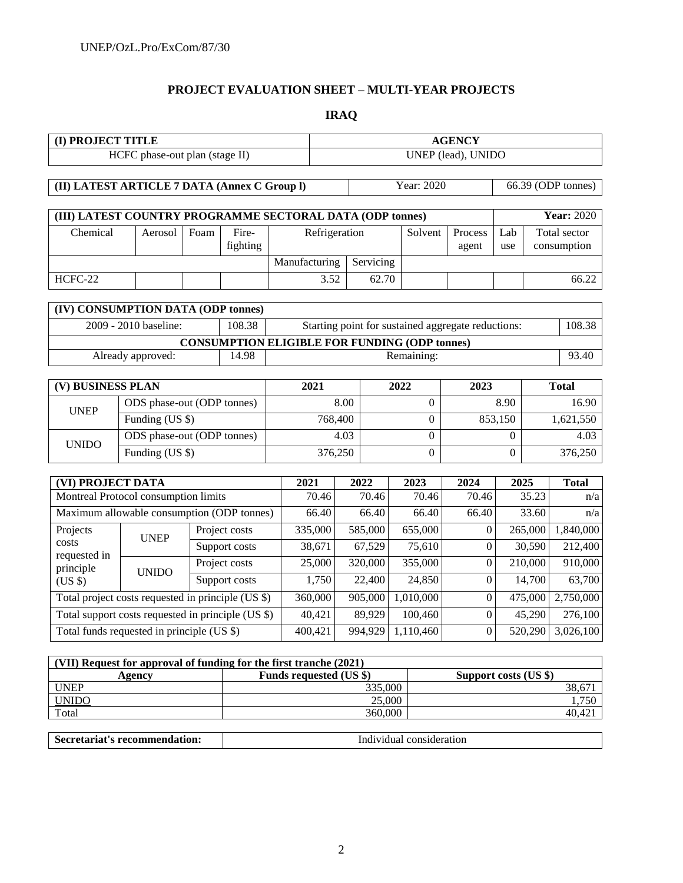# **PROJECT EVALUATION SHEET – MULTI-YEAR PROJECTS**

# **IRAQ**

| (I) PROJECT TITLE                                         |                                                 |      |          |               | <b>AGENCY</b> |            |         |     |                    |
|-----------------------------------------------------------|-------------------------------------------------|------|----------|---------------|---------------|------------|---------|-----|--------------------|
| UNEP (lead), UNIDO<br>HCFC phase-out plan (stage II)      |                                                 |      |          |               |               |            |         |     |                    |
|                                                           |                                                 |      |          |               |               |            |         |     |                    |
| (II) LATEST ARTICLE 7 DATA (Annex C Group I)              |                                                 |      |          |               |               | Year: 2020 |         |     | 66.39 (ODP tonnes) |
|                                                           |                                                 |      |          |               |               |            |         |     |                    |
| (III) LATEST COUNTRY PROGRAMME SECTORAL DATA (ODP tonnes) |                                                 |      |          |               |               |            |         |     | <b>Year: 2020</b>  |
| Chemical                                                  | Aerosol                                         | Foam | Fire-    | Refrigeration |               | Solvent    | Process | Lab | Total sector       |
|                                                           |                                                 |      | fighting |               |               |            | agent   | use | consumption        |
|                                                           |                                                 |      |          | Manufacturing | Servicing     |            |         |     |                    |
| $HCFC-22$                                                 |                                                 |      |          | 3.52          | 62.70         |            |         |     | 66.22              |
|                                                           |                                                 |      |          |               |               |            |         |     |                    |
|                                                           | $(TV)$ CONSUMPTION DATA $(DDP \nt^{\text{op}})$ |      |          |               |               |            |         |     |                    |

| $(IV)$ CONSUMPTION DATA (ODP tonnes)                 |        |                                                    |       |  |  |  |
|------------------------------------------------------|--------|----------------------------------------------------|-------|--|--|--|
| 2009 - 2010 baseline:                                | 108.38 | Starting point for sustained aggregate reductions: |       |  |  |  |
| <b>CONSUMPTION ELIGIBLE FOR FUNDING (ODP tonnes)</b> |        |                                                    |       |  |  |  |
| Already approved:                                    | 14.98  | Remaining:                                         | 93.40 |  |  |  |

| (V) BUSINESS PLAN |                            | 2021    | 2022 | 2023    | Total     |
|-------------------|----------------------------|---------|------|---------|-----------|
| UNEP              | ODS phase-out (ODP tonnes) | 8.00    |      | 8.90    | 16.90     |
|                   | Funding (US \$)            | 768,400 |      | 853.150 | 1,621,550 |
|                   | ODS phase-out (ODP tonnes) | 4.03    |      |         | 4.03      |
| <b>UNIDO</b>      | Funding (US \$)            | 376,250 |      |         | 376,250   |

|                                                    | (VI) PROJECT DATA                          |                                            | 2021    | 2022      | 2023      | 2024     | 2025      | <b>Total</b> |
|----------------------------------------------------|--------------------------------------------|--------------------------------------------|---------|-----------|-----------|----------|-----------|--------------|
| Montreal Protocol consumption limits               |                                            | 70.46                                      | 70.46   | 70.46     | 70.46     | 35.23    | n/a       |              |
|                                                    |                                            | Maximum allowable consumption (ODP tonnes) | 66.40   | 66.40     | 66.40     | 66.40    | 33.60     | n/a          |
| Projects                                           | <b>UNEP</b>                                | Project costs                              | 335,000 | 585,000   | 655,000   |          | 265,000   | 1,840,000    |
| costs<br>requested in                              |                                            | Support costs                              | 38,671  | 67,529    | 75,610    | 0        | 30,590    | 212,400      |
| principle<br>$(US \$                               | <b>UNIDO</b>                               | Project costs                              | 25,000  | 320,000   | 355,000   | $\theta$ | 210,000   | 910,000      |
|                                                    |                                            | Support costs                              | 1,750   | 22,400    | 24,850    | 0        | 14.700    | 63,700       |
| Total project costs requested in principle (US \$) |                                            | 360,000                                    | 905,000 | 1,010,000 | $\theta$  | 475,000  | 2,750,000 |              |
| Total support costs requested in principle (US \$) |                                            | 40,421                                     | 89.929  | 100,460   |           | 45,290   | 276,100   |              |
|                                                    | Total funds requested in principle (US \$) |                                            | 400,421 | 994,929   | 1,110,460 | $\Omega$ | 520,290   | 3,026,100    |

| (VII) Request for approval of funding for the first tranche (2021) |                                |                       |  |  |  |
|--------------------------------------------------------------------|--------------------------------|-----------------------|--|--|--|
| Agencv                                                             | <b>Funds requested (US \$)</b> | Support costs (US \$) |  |  |  |
| <b>UNEP</b>                                                        | 335,000                        | 38,671                |  |  |  |
| <b>UNIDO</b>                                                       | 25,000                         | 1,750                 |  |  |  |
| Total                                                              | 360,000                        | 40.421                |  |  |  |

| Secretariat's recommendation: | Individual consideration |
|-------------------------------|--------------------------|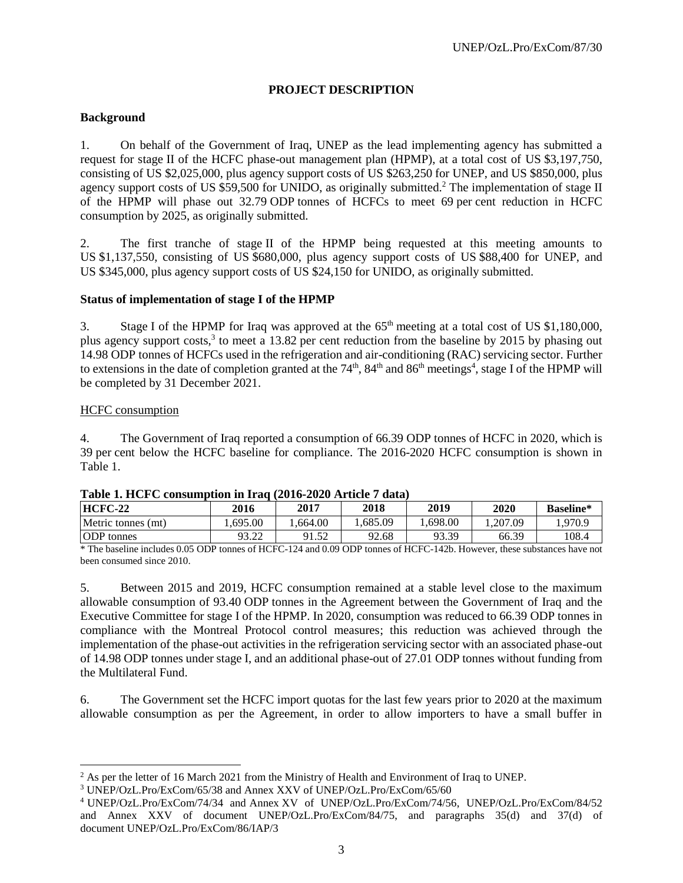# **PROJECT DESCRIPTION**

#### **Background**

1. On behalf of the Government of Iraq, UNEP as the lead implementing agency has submitted a request for stage II of the HCFC phase-out management plan (HPMP), at a total cost of US \$3,197,750, consisting of US \$2,025,000, plus agency support costs of US \$263,250 for UNEP, and US \$850,000, plus agency support costs of US \$59,500 for UNIDO, as originally submitted.<sup>2</sup> The implementation of stage II of the HPMP will phase out 32.79 ODP tonnes of HCFCs to meet 69 per cent reduction in HCFC consumption by 2025, as originally submitted.

2. The first tranche of stage II of the HPMP being requested at this meeting amounts to US \$1,137,550, consisting of US \$680,000, plus agency support costs of US \$88,400 for UNEP, and US \$345,000, plus agency support costs of US \$24,150 for UNIDO, as originally submitted.

#### **Status of implementation of stage I of the HPMP**

3. Stage I of the HPMP for Iraq was approved at the  $65<sup>th</sup>$  meeting at a total cost of US \$1,180,000. plus agency support costs,<sup>3</sup> to meet a 13.82 per cent reduction from the baseline by 2015 by phasing out 14.98 ODP tonnes of HCFCs used in the refrigeration and air-conditioning (RAC) servicing sector. Further to extensions in the date of completion granted at the  $74^{\text{th}}$ ,  $84^{\text{th}}$  and  $86^{\text{th}}$  meetings<sup>4</sup>, stage I of the HPMP will be completed by 31 December 2021.

#### HCFC consumption

l

4. The Government of Iraq reported a consumption of 66.39 ODP tonnes of HCFC in 2020, which is 39 per cent below the HCFC baseline for compliance. The 2016-2020 HCFC consumption is shown in Table 1.

| Table 1. Here consumption in Hay (2010-2020 Article / Gata) |         |         |         |         |         |                  |  |
|-------------------------------------------------------------|---------|---------|---------|---------|---------|------------------|--|
| $HCFC-22$                                                   | 2016    | 2017    | 2018    | 2019    | 2020    | <b>Baseline*</b> |  |
| Metric tonnes (mt)                                          | .695.00 | .664.00 | .685.09 | .698.00 | .207.09 | .970.9           |  |
| <b>ODP</b> tonnes                                           | 93.22   | 91.52   | 92.68   | 93.39   | 66.39   | 108.4            |  |

# **Table 1. HCFC consumption in Iraq (2016-2020 Article 7 data)**

\* The baseline includes 0.05 ODP tonnes of HCFC-124 and 0.09 ODP tonnes of HCFC-142b. However, these substances have not been consumed since 2010.

5. Between 2015 and 2019, HCFC consumption remained at a stable level close to the maximum allowable consumption of 93.40 ODP tonnes in the Agreement between the Government of Iraq and the Executive Committee for stage I of the HPMP. In 2020, consumption was reduced to 66.39 ODP tonnes in compliance with the Montreal Protocol control measures; this reduction was achieved through the implementation of the phase-out activities in the refrigeration servicing sector with an associated phase-out of 14.98 ODP tonnes under stage I, and an additional phase-out of 27.01 ODP tonnes without funding from the Multilateral Fund.

6. The Government set the HCFC import quotas for the last few years prior to 2020 at the maximum allowable consumption as per the Agreement, in order to allow importers to have a small buffer in

<sup>&</sup>lt;sup>2</sup> As per the letter of 16 March 2021 from the Ministry of Health and Environment of Iraq to UNEP.

<sup>3</sup> UNEP/OzL.Pro/ExCom/65/38 and Annex XXV of UNEP/OzL.Pro/ExCom/65/60

<sup>4</sup> UNEP/OzL.Pro/ExCom/74/34 and Annex XV of UNEP/OzL.Pro/ExCom/74/56, UNEP/OzL.Pro/ExCom/84/52 and Annex XXV of document UNEP/OzL.Pro/ExCom/84/75, and paragraphs 35(d) and 37(d) of document UNEP/OzL.Pro/ExCom/86/IAP/3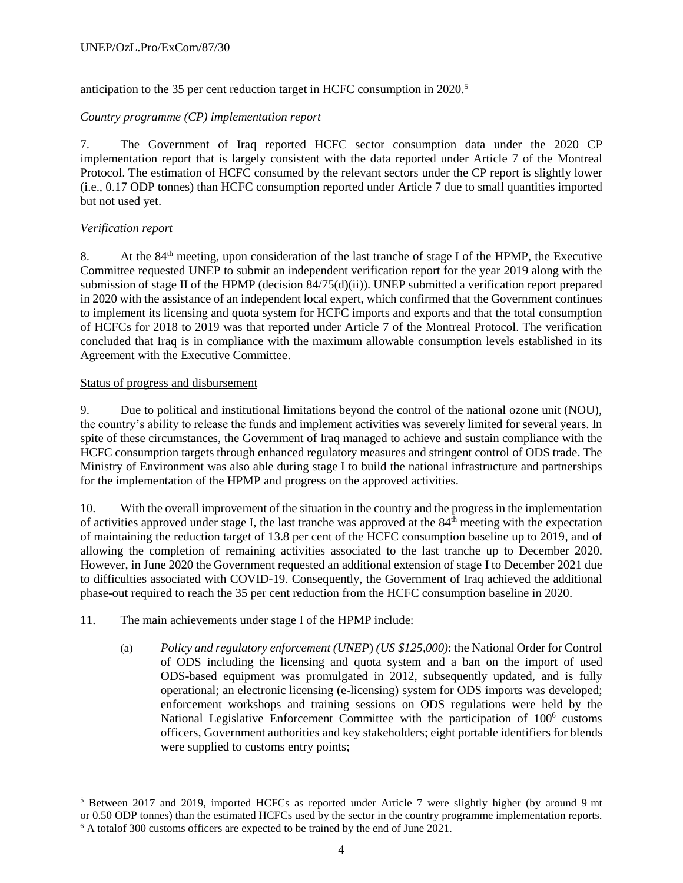## UNEP/OzL.Pro/ExCom/87/30

# anticipation to the 35 per cent reduction target in HCFC consumption in 2020.<sup>5</sup>

## *Country programme (CP) implementation report*

7. The Government of Iraq reported HCFC sector consumption data under the 2020 CP implementation report that is largely consistent with the data reported under Article 7 of the Montreal Protocol. The estimation of HCFC consumed by the relevant sectors under the CP report is slightly lower (i.e., 0.17 ODP tonnes) than HCFC consumption reported under Article 7 due to small quantities imported but not used yet.

## *Verification report*

l

8. At the  $84<sup>th</sup>$  meeting, upon consideration of the last tranche of stage I of the HPMP, the Executive Committee requested UNEP to submit an independent verification report for the year 2019 along with the submission of stage II of the HPMP (decision  $84/75(d)(ii)$ ). UNEP submitted a verification report prepared in 2020 with the assistance of an independent local expert, which confirmed that the Government continues to implement its licensing and quota system for HCFC imports and exports and that the total consumption of HCFCs for 2018 to 2019 was that reported under Article 7 of the Montreal Protocol. The verification concluded that Iraq is in compliance with the maximum allowable consumption levels established in its Agreement with the Executive Committee.

## Status of progress and disbursement

9. Due to political and institutional limitations beyond the control of the national ozone unit (NOU), the country's ability to release the funds and implement activities was severely limited for several years. In spite of these circumstances, the Government of Iraq managed to achieve and sustain compliance with the HCFC consumption targets through enhanced regulatory measures and stringent control of ODS trade. The Ministry of Environment was also able during stage I to build the national infrastructure and partnerships for the implementation of the HPMP and progress on the approved activities.

10. With the overall improvement of the situation in the country and the progress in the implementation of activities approved under stage I, the last tranche was approved at the  $84<sup>th</sup>$  meeting with the expectation of maintaining the reduction target of 13.8 per cent of the HCFC consumption baseline up to 2019, and of allowing the completion of remaining activities associated to the last tranche up to December 2020. However, in June 2020 the Government requested an additional extension of stage I to December 2021 due to difficulties associated with COVID-19. Consequently, the Government of Iraq achieved the additional phase-out required to reach the 35 per cent reduction from the HCFC consumption baseline in 2020.

11. The main achievements under stage I of the HPMP include:

(a) *Policy and regulatory enforcement (UNEP*) *(US \$125,000)*: the National Order for Control of ODS including the licensing and quota system and a ban on the import of used ODS-based equipment was promulgated in 2012, subsequently updated, and is fully operational; an electronic licensing (e-licensing) system for ODS imports was developed; enforcement workshops and training sessions on ODS regulations were held by the National Legislative Enforcement Committee with the participation of 100<sup>6</sup> customs officers, Government authorities and key stakeholders; eight portable identifiers for blends were supplied to customs entry points;

<sup>5</sup> Between 2017 and 2019, imported HCFCs as reported under Article 7 were slightly higher (by around 9 mt or 0.50 ODP tonnes) than the estimated HCFCs used by the sector in the country programme implementation reports. <sup>6</sup> A totalof 300 customs officers are expected to be trained by the end of June 2021.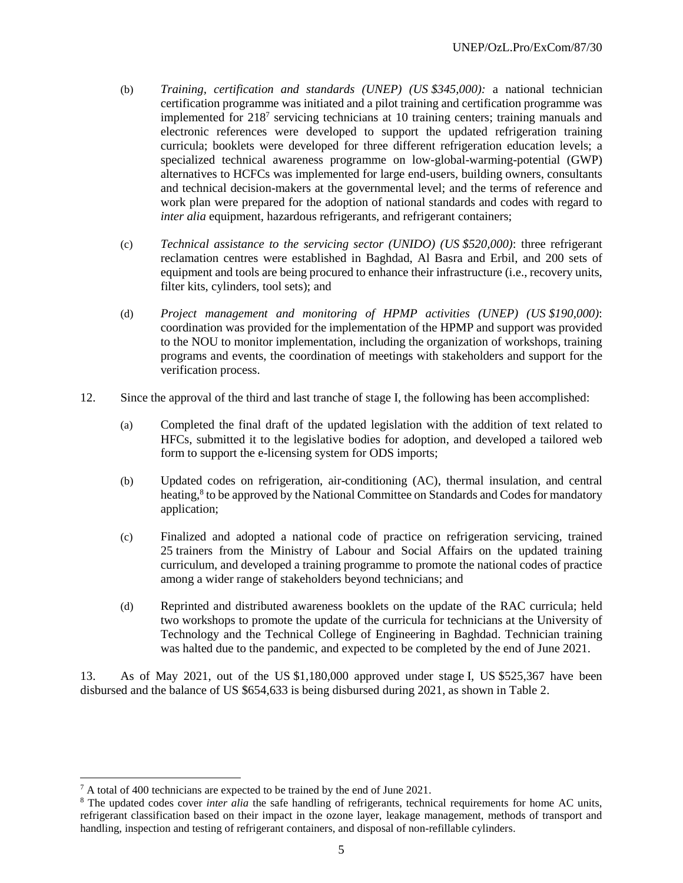- (b) *Training, certification and standards (UNEP) (US \$345,000):* a national technician certification programme was initiated and a pilot training and certification programme was implemented for 218<sup>7</sup> servicing technicians at 10 training centers; training manuals and electronic references were developed to support the updated refrigeration training curricula; booklets were developed for three different refrigeration education levels; a specialized technical awareness programme on low-global-warming-potential (GWP) alternatives to HCFCs was implemented for large end-users, building owners, consultants and technical decision-makers at the governmental level; and the terms of reference and work plan were prepared for the adoption of national standards and codes with regard to *inter alia* equipment, hazardous refrigerants, and refrigerant containers;
- (c) *Technical assistance to the servicing sector (UNIDO) (US \$520,000)*: three refrigerant reclamation centres were established in Baghdad, Al Basra and Erbil, and 200 sets of equipment and tools are being procured to enhance their infrastructure (i.e., recovery units, filter kits, cylinders, tool sets); and
- (d) *Project management and monitoring of HPMP activities (UNEP) (US \$190,000)*: coordination was provided for the implementation of the HPMP and support was provided to the NOU to monitor implementation, including the organization of workshops, training programs and events, the coordination of meetings with stakeholders and support for the verification process.
- 12. Since the approval of the third and last tranche of stage I, the following has been accomplished:
	- (a) Completed the final draft of the updated legislation with the addition of text related to HFCs, submitted it to the legislative bodies for adoption, and developed a tailored web form to support the e-licensing system for ODS imports;
	- (b) Updated codes on refrigeration, air-conditioning (AC), thermal insulation, and central heating,<sup>8</sup> to be approved by the National Committee on Standards and Codes for mandatory application;
	- (c) Finalized and adopted a national code of practice on refrigeration servicing, trained 25 trainers from the Ministry of Labour and Social Affairs on the updated training curriculum, and developed a training programme to promote the national codes of practice among a wider range of stakeholders beyond technicians; and
	- (d) Reprinted and distributed awareness booklets on the update of the RAC curricula; held two workshops to promote the update of the curricula for technicians at the University of Technology and the Technical College of Engineering in Baghdad. Technician training was halted due to the pandemic, and expected to be completed by the end of June 2021.

13. As of May 2021, out of the US \$1,180,000 approved under stage I, US \$525,367 have been disbursed and the balance of US \$654,633 is being disbursed during 2021, as shown in Table 2.

l  $7 A$  total of 400 technicians are expected to be trained by the end of June 2021.

<sup>&</sup>lt;sup>8</sup> The updated codes cover *inter alia* the safe handling of refrigerants, technical requirements for home AC units, refrigerant classification based on their impact in the ozone layer, leakage management, methods of transport and handling, inspection and testing of refrigerant containers, and disposal of non-refillable cylinders.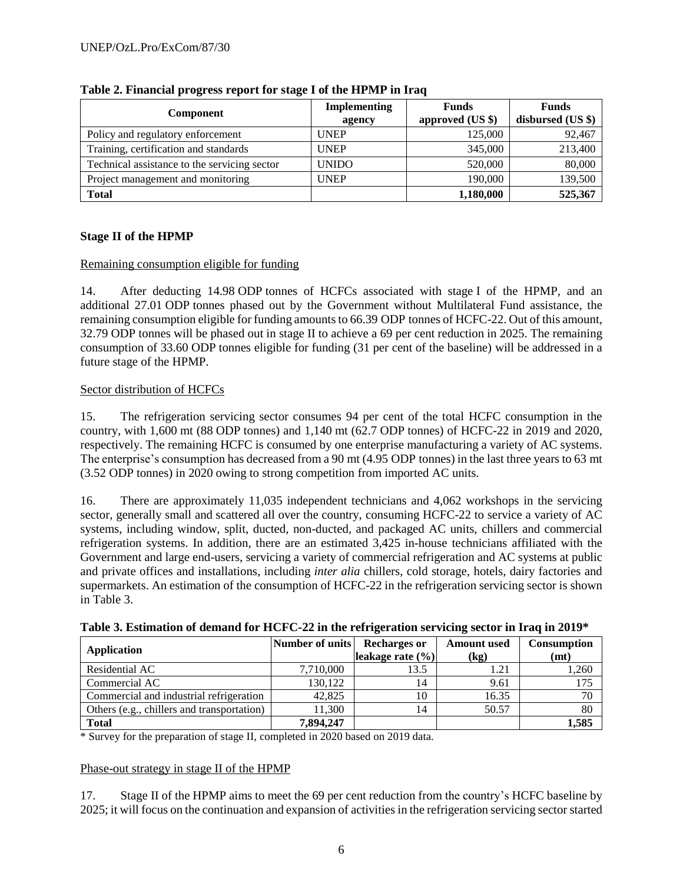| Component                                    | <b>Implementing</b><br>agency | <b>Funds</b><br>approved (US \$) | <b>Funds</b><br>disbursed (US \$) |
|----------------------------------------------|-------------------------------|----------------------------------|-----------------------------------|
| Policy and regulatory enforcement            | <b>UNEP</b>                   | 125,000                          | 92,467                            |
| Training, certification and standards        | <b>UNEP</b>                   | 345,000                          | 213,400                           |
| Technical assistance to the servicing sector | <b>UNIDO</b>                  | 520,000                          | 80,000                            |
| Project management and monitoring            | <b>UNEP</b>                   | 190,000                          | 139,500                           |
| <b>Total</b>                                 |                               | 1,180,000                        | 525,367                           |

**Table 2. Financial progress report for stage I of the HPMP in Iraq**

# **Stage II of the HPMP**

## Remaining consumption eligible for funding

14. After deducting 14.98 ODP tonnes of HCFCs associated with stage I of the HPMP, and an additional 27.01 ODP tonnes phased out by the Government without Multilateral Fund assistance, the remaining consumption eligible for funding amounts to 66.39 ODP tonnes of HCFC-22. Out of this amount, 32.79 ODP tonnes will be phased out in stage II to achieve a 69 per cent reduction in 2025. The remaining consumption of 33.60 ODP tonnes eligible for funding (31 per cent of the baseline) will be addressed in a future stage of the HPMP.

# Sector distribution of HCFCs

15. The refrigeration servicing sector consumes 94 per cent of the total HCFC consumption in the country, with 1,600 mt (88 ODP tonnes) and 1,140 mt (62.7 ODP tonnes) of HCFC-22 in 2019 and 2020, respectively. The remaining HCFC is consumed by one enterprise manufacturing a variety of AC systems. The enterprise's consumption has decreased from a 90 mt (4.95 ODP tonnes) in the last three years to 63 mt (3.52 ODP tonnes) in 2020 owing to strong competition from imported AC units.

16. There are approximately 11,035 independent technicians and 4,062 workshops in the servicing sector, generally small and scattered all over the country, consuming HCFC-22 to service a variety of AC systems, including window, split, ducted, non-ducted, and packaged AC units, chillers and commercial refrigeration systems. In addition, there are an estimated 3,425 in-house technicians affiliated with the Government and large end-users, servicing a variety of commercial refrigeration and AC systems at public and private offices and installations, including *inter alia* chillers, cold storage, hotels, dairy factories and supermarkets. An estimation of the consumption of HCFC-22 in the refrigeration servicing sector is shown in Table 3.

| -wore et mothimaton of wentwite for nece C as in the ferrigerwater our trents over in freq in solo |                 |                      |                    |                    |  |  |
|----------------------------------------------------------------------------------------------------|-----------------|----------------------|--------------------|--------------------|--|--|
| Application                                                                                        | Number of units | <b>Recharges or</b>  | <b>Amount</b> used | <b>Consumption</b> |  |  |
|                                                                                                    |                 | leakage rate $(\% )$ | (kg)               | (mt)               |  |  |
| Residential AC                                                                                     | 7,710,000       | 13.5                 | 1.21               | 1,260              |  |  |
| Commercial AC                                                                                      | 130,122         | 14                   | 9.61               | 175                |  |  |
| Commercial and industrial refrigeration                                                            | 42,825          | 10                   | 16.35              | 70                 |  |  |
| Others (e.g., chillers and transportation)                                                         | 11,300          | 14                   | 50.57              | 80                 |  |  |
| <b>Total</b>                                                                                       | 7.894.247       |                      |                    | 1.585              |  |  |

**Table 3. Estimation of demand for HCFC-22 in the refrigeration servicing sector in Iraq in 2019\***

\* Survey for the preparation of stage II, completed in 2020 based on 2019 data.

# Phase-out strategy in stage II of the HPMP

17. Stage II of the HPMP aims to meet the 69 per cent reduction from the country's HCFC baseline by 2025; it will focus on the continuation and expansion of activities in the refrigeration servicing sector started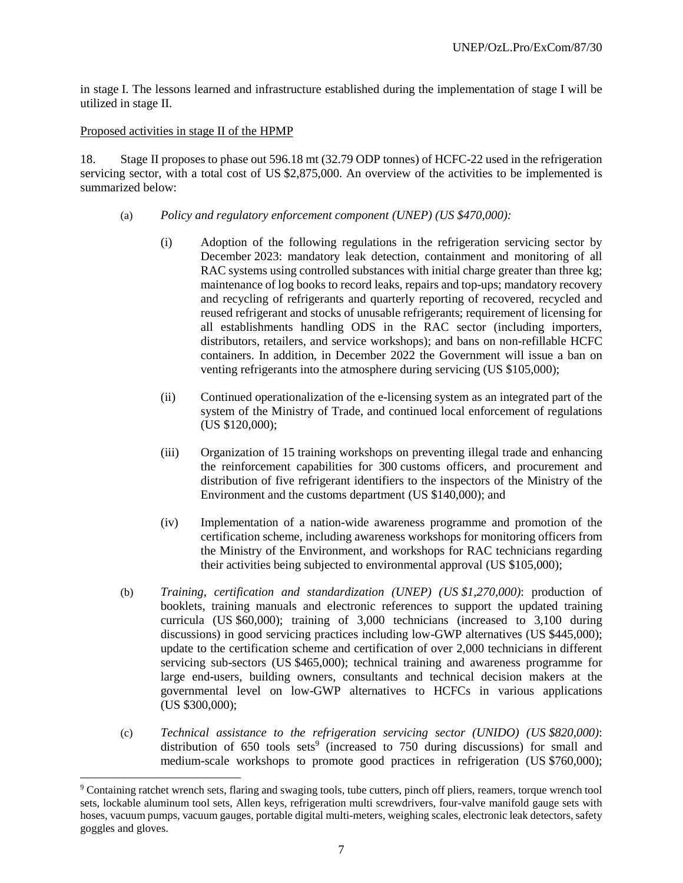in stage I. The lessons learned and infrastructure established during the implementation of stage I will be utilized in stage II.

#### Proposed activities in stage II of the HPMP

l

18. Stage II proposes to phase out 596.18 mt (32.79 ODP tonnes) of HCFC-22 used in the refrigeration servicing sector, with a total cost of US \$2,875,000. An overview of the activities to be implemented is summarized below:

- (a) *Policy and regulatory enforcement component (UNEP) (US \$470,000):*
	- (i) Adoption of the following regulations in the refrigeration servicing sector by December 2023: mandatory leak detection, containment and monitoring of all RAC systems using controlled substances with initial charge greater than three kg; maintenance of log books to record leaks, repairs and top-ups; mandatory recovery and recycling of refrigerants and quarterly reporting of recovered, recycled and reused refrigerant and stocks of unusable refrigerants; requirement of licensing for all establishments handling ODS in the RAC sector (including importers, distributors, retailers, and service workshops); and bans on non-refillable HCFC containers. In addition, in December 2022 the Government will issue a ban on venting refrigerants into the atmosphere during servicing (US \$105,000);
	- (ii) Continued operationalization of the e-licensing system as an integrated part of the system of the Ministry of Trade, and continued local enforcement of regulations (US \$120,000);
	- (iii) Organization of 15 training workshops on preventing illegal trade and enhancing the reinforcement capabilities for 300 customs officers, and procurement and distribution of five refrigerant identifiers to the inspectors of the Ministry of the Environment and the customs department (US \$140,000); and
	- (iv) Implementation of a nation-wide awareness programme and promotion of the certification scheme, including awareness workshops for monitoring officers from the Ministry of the Environment, and workshops for RAC technicians regarding their activities being subjected to environmental approval (US \$105,000);
- (b) *Training, certification and standardization (UNEP) (US \$1,270,000)*: production of booklets, training manuals and electronic references to support the updated training curricula (US \$60,000); training of 3,000 technicians (increased to 3,100 during discussions) in good servicing practices including low-GWP alternatives (US \$445,000); update to the certification scheme and certification of over 2,000 technicians in different servicing sub-sectors (US \$465,000); technical training and awareness programme for large end-users, building owners, consultants and technical decision makers at the governmental level on low-GWP alternatives to HCFCs in various applications (US \$300,000);
- (c) *Technical assistance to the refrigeration servicing sector (UNIDO) (US \$820,000)*: distribution of  $650$  tools sets<sup>9</sup> (increased to  $750$  during discussions) for small and medium-scale workshops to promote good practices in refrigeration (US \$760,000);

<sup>9</sup> Containing ratchet wrench sets, flaring and swaging tools, tube cutters, pinch off pliers, reamers, torque wrench tool sets, lockable aluminum tool sets, Allen keys, refrigeration multi screwdrivers, four-valve manifold gauge sets with hoses, vacuum pumps, vacuum gauges, portable digital multi-meters, weighing scales, electronic leak detectors, safety goggles and gloves.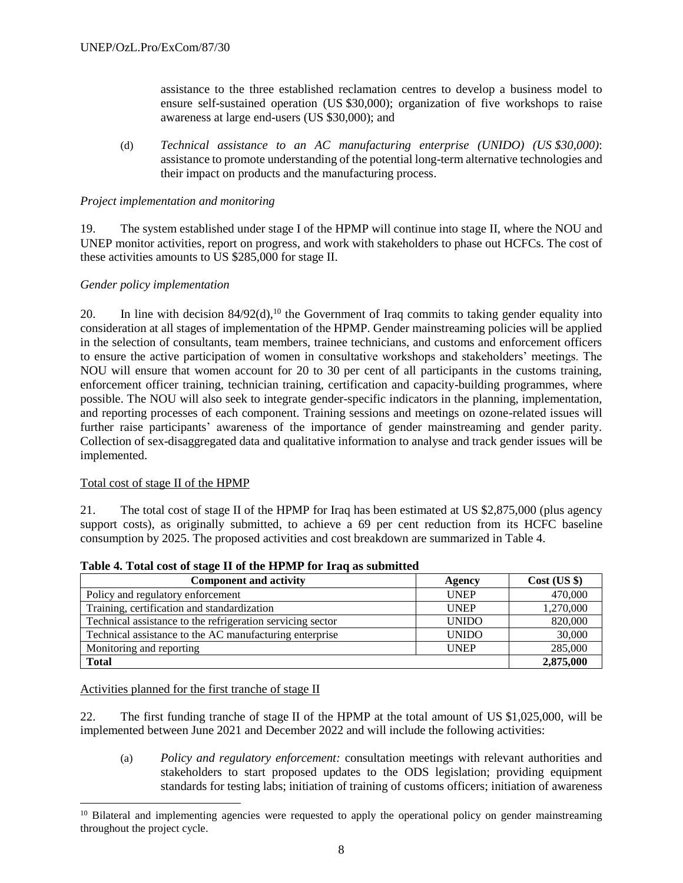assistance to the three established reclamation centres to develop a business model to ensure self-sustained operation (US \$30,000); organization of five workshops to raise awareness at large end-users (US \$30,000); and

(d) *Technical assistance to an AC manufacturing enterprise (UNIDO) (US \$30,000)*: assistance to promote understanding of the potential long-term alternative technologies and their impact on products and the manufacturing process.

#### *Project implementation and monitoring*

19. The system established under stage I of the HPMP will continue into stage II, where the NOU and UNEP monitor activities, report on progress, and work with stakeholders to phase out HCFCs. The cost of these activities amounts to US \$285,000 for stage II.

#### *Gender policy implementation*

20. In line with decision  $84/92(d)$ ,<sup>10</sup> the Government of Iraq commits to taking gender equality into consideration at all stages of implementation of the HPMP. Gender mainstreaming policies will be applied in the selection of consultants, team members, trainee technicians, and customs and enforcement officers to ensure the active participation of women in consultative workshops and stakeholders' meetings. The NOU will ensure that women account for 20 to 30 per cent of all participants in the customs training, enforcement officer training, technician training, certification and capacity-building programmes, where possible. The NOU will also seek to integrate gender-specific indicators in the planning, implementation, and reporting processes of each component. Training sessions and meetings on ozone-related issues will further raise participants' awareness of the importance of gender mainstreaming and gender parity. Collection of sex-disaggregated data and qualitative information to analyse and track gender issues will be implemented.

#### Total cost of stage II of the HPMP

21. The total cost of stage II of the HPMP for Iraq has been estimated at US \$2,875,000 (plus agency support costs), as originally submitted, to achieve a 69 per cent reduction from its HCFC baseline consumption by 2025. The proposed activities and cost breakdown are summarized in Table 4.

| <b>Component and activity</b>                              | Agency       | Cost (US \$) |
|------------------------------------------------------------|--------------|--------------|
| Policy and regulatory enforcement                          | <b>UNEP</b>  | 470,000      |
| Training, certification and standardization                | <b>UNEP</b>  | 1,270,000    |
| Technical assistance to the refrigeration servicing sector | <b>UNIDO</b> | 820,000      |
| Technical assistance to the AC manufacturing enterprise    | <b>UNIDO</b> | 30,000       |
| Monitoring and reporting                                   | <b>UNEP</b>  | 285,000      |
| <b>Total</b>                                               |              | 2,875,000    |

**Table 4. Total cost of stage II of the HPMP for Iraq as submitted**

#### Activities planned for the first tranche of stage II

 $\overline{\phantom{a}}$ 

22. The first funding tranche of stage II of the HPMP at the total amount of US \$1,025,000, will be implemented between June 2021 and December 2022 and will include the following activities:

(a) *Policy and regulatory enforcement:* consultation meetings with relevant authorities and stakeholders to start proposed updates to the ODS legislation; providing equipment standards for testing labs; initiation of training of customs officers; initiation of awareness

<sup>&</sup>lt;sup>10</sup> Bilateral and implementing agencies were requested to apply the operational policy on gender mainstreaming throughout the project cycle.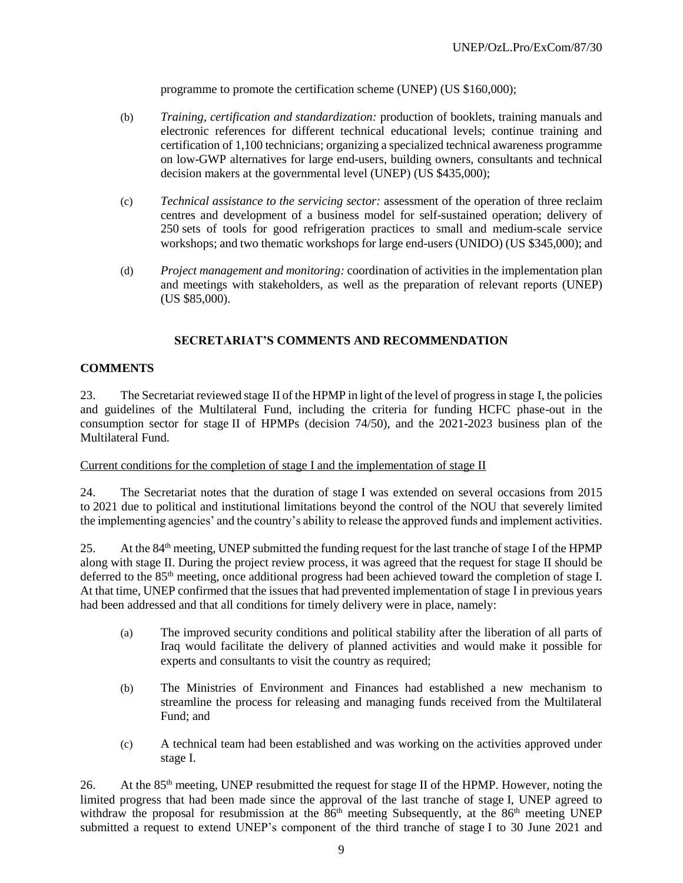programme to promote the certification scheme (UNEP) (US \$160,000);

- (b) *Training, certification and standardization:* production of booklets, training manuals and electronic references for different technical educational levels; continue training and certification of 1,100 technicians; organizing a specialized technical awareness programme on low-GWP alternatives for large end-users, building owners, consultants and technical decision makers at the governmental level (UNEP) (US \$435,000);
- (c) *Technical assistance to the servicing sector:* assessment of the operation of three reclaim centres and development of a business model for self-sustained operation; delivery of 250 sets of tools for good refrigeration practices to small and medium-scale service workshops; and two thematic workshops for large end-users (UNIDO) (US \$345,000); and
- (d) *Project management and monitoring:* coordination of activities in the implementation plan and meetings with stakeholders, as well as the preparation of relevant reports (UNEP) (US \$85,000).

## **SECRETARIAT'S COMMENTS AND RECOMMENDATION**

#### **COMMENTS**

23. The Secretariat reviewed stage II of the HPMP in light of the level of progress in stage I, the policies and guidelines of the Multilateral Fund, including the criteria for funding HCFC phase-out in the consumption sector for stage II of HPMPs (decision 74/50), and the 2021-2023 business plan of the Multilateral Fund.

#### Current conditions for the completion of stage I and the implementation of stage II

24. The Secretariat notes that the duration of stage I was extended on several occasions from 2015 to 2021 due to political and institutional limitations beyond the control of the NOU that severely limited the implementing agencies' and the country's ability to release the approved funds and implement activities.

25. At the 84th meeting, UNEP submitted the funding request for the last tranche of stage I of the HPMP along with stage II. During the project review process, it was agreed that the request for stage II should be deferred to the 85th meeting, once additional progress had been achieved toward the completion of stage I. At that time, UNEP confirmed that the issues that had prevented implementation of stage I in previous years had been addressed and that all conditions for timely delivery were in place, namely:

- (a) The improved security conditions and political stability after the liberation of all parts of Iraq would facilitate the delivery of planned activities and would make it possible for experts and consultants to visit the country as required;
- (b) The Ministries of Environment and Finances had established a new mechanism to streamline the process for releasing and managing funds received from the Multilateral Fund; and
- (c) A technical team had been established and was working on the activities approved under stage I.

26. At the 85<sup>th</sup> meeting, UNEP resubmitted the request for stage II of the HPMP. However, noting the limited progress that had been made since the approval of the last tranche of stage I, UNEP agreed to withdraw the proposal for resubmission at the 86<sup>th</sup> meeting Subsequently, at the 86<sup>th</sup> meeting UNEP submitted a request to extend UNEP's component of the third tranche of stage I to 30 June 2021 and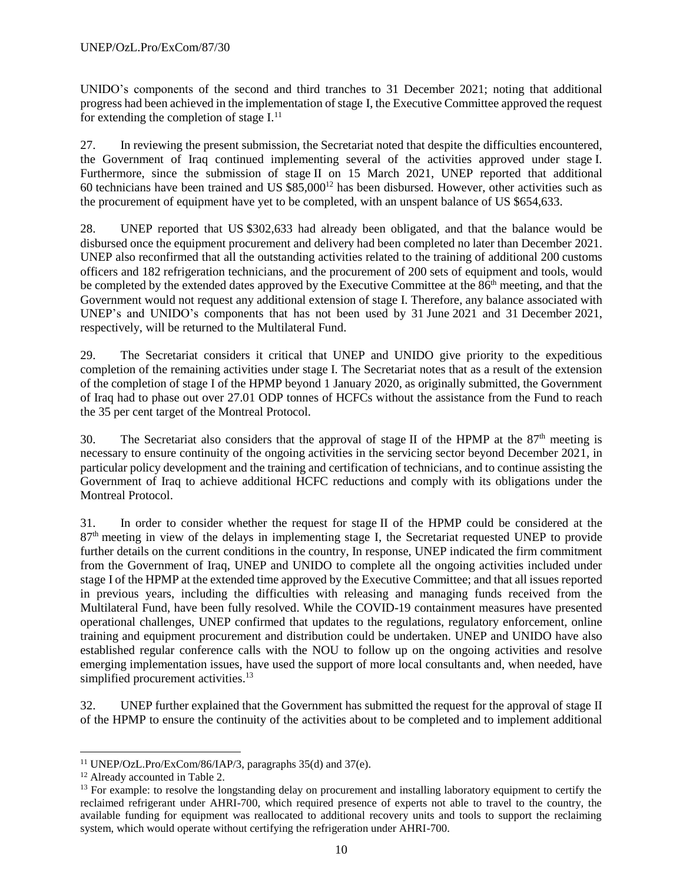UNIDO's components of the second and third tranches to 31 December 2021; noting that additional progress had been achieved in the implementation of stage I, the Executive Committee approved the request for extending the completion of stage I.<sup>11</sup>

27. In reviewing the present submission, the Secretariat noted that despite the difficulties encountered, the Government of Iraq continued implementing several of the activities approved under stage I. Furthermore, since the submission of stage II on 15 March 2021, UNEP reported that additional 60 technicians have been trained and US  $$85,000^{12}$  has been disbursed. However, other activities such as the procurement of equipment have yet to be completed, with an unspent balance of US \$654,633.

28. UNEP reported that US \$302,633 had already been obligated, and that the balance would be disbursed once the equipment procurement and delivery had been completed no later than December 2021. UNEP also reconfirmed that all the outstanding activities related to the training of additional 200 customs officers and 182 refrigeration technicians, and the procurement of 200 sets of equipment and tools, would be completed by the extended dates approved by the Executive Committee at the 86<sup>th</sup> meeting, and that the Government would not request any additional extension of stage I. Therefore, any balance associated with UNEP's and UNIDO's components that has not been used by 31 June 2021 and 31 December 2021, respectively, will be returned to the Multilateral Fund.

29. The Secretariat considers it critical that UNEP and UNIDO give priority to the expeditious completion of the remaining activities under stage I. The Secretariat notes that as a result of the extension of the completion of stage I of the HPMP beyond 1 January 2020, as originally submitted, the Government of Iraq had to phase out over 27.01 ODP tonnes of HCFCs without the assistance from the Fund to reach the 35 per cent target of the Montreal Protocol.

30. The Secretariat also considers that the approval of stage II of the HPMP at the  $87<sup>th</sup>$  meeting is necessary to ensure continuity of the ongoing activities in the servicing sector beyond December 2021, in particular policy development and the training and certification of technicians, and to continue assisting the Government of Iraq to achieve additional HCFC reductions and comply with its obligations under the Montreal Protocol.

31. In order to consider whether the request for stage II of the HPMP could be considered at the 87th meeting in view of the delays in implementing stage I, the Secretariat requested UNEP to provide further details on the current conditions in the country, In response, UNEP indicated the firm commitment from the Government of Iraq, UNEP and UNIDO to complete all the ongoing activities included under stage I of the HPMP at the extended time approved by the Executive Committee; and that all issues reported in previous years, including the difficulties with releasing and managing funds received from the Multilateral Fund, have been fully resolved. While the COVID-19 containment measures have presented operational challenges, UNEP confirmed that updates to the regulations, regulatory enforcement, online training and equipment procurement and distribution could be undertaken. UNEP and UNIDO have also established regular conference calls with the NOU to follow up on the ongoing activities and resolve emerging implementation issues, have used the support of more local consultants and, when needed, have simplified procurement activities.<sup>13</sup>

32. UNEP further explained that the Government has submitted the request for the approval of stage II of the HPMP to ensure the continuity of the activities about to be completed and to implement additional

l

<sup>11</sup> UNEP/OzL.Pro/ExCom/86/IAP/3, paragraphs 35(d) and 37(e).

<sup>&</sup>lt;sup>12</sup> Already accounted in Table 2.

<sup>&</sup>lt;sup>13</sup> For example: to resolve the longstanding delay on procurement and installing laboratory equipment to certify the reclaimed refrigerant under AHRI-700, which required presence of experts not able to travel to the country, the available funding for equipment was reallocated to additional recovery units and tools to support the reclaiming system, which would operate without certifying the refrigeration under AHRI-700.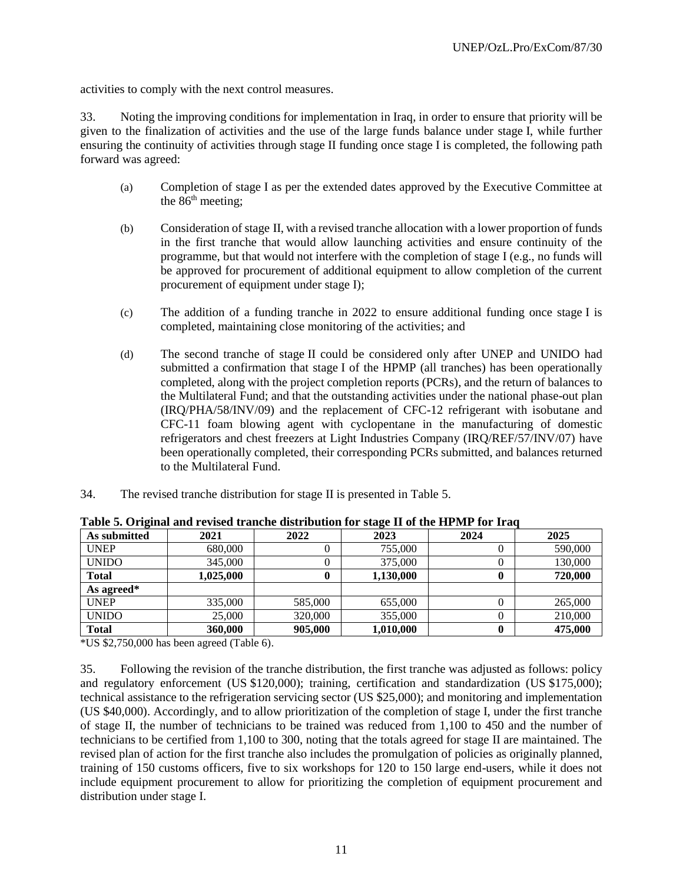activities to comply with the next control measures.

33. Noting the improving conditions for implementation in Iraq, in order to ensure that priority will be given to the finalization of activities and the use of the large funds balance under stage I, while further ensuring the continuity of activities through stage II funding once stage I is completed, the following path forward was agreed:

- (a) Completion of stage I as per the extended dates approved by the Executive Committee at the  $86<sup>th</sup>$  meeting;
- (b) Consideration of stage II, with a revised tranche allocation with a lower proportion of funds in the first tranche that would allow launching activities and ensure continuity of the programme, but that would not interfere with the completion of stage I (e.g., no funds will be approved for procurement of additional equipment to allow completion of the current procurement of equipment under stage I);
- (c) The addition of a funding tranche in 2022 to ensure additional funding once stage I is completed, maintaining close monitoring of the activities; and
- (d) The second tranche of stage II could be considered only after UNEP and UNIDO had submitted a confirmation that stage I of the HPMP (all tranches) has been operationally completed, along with the project completion reports (PCRs), and the return of balances to the Multilateral Fund; and that the outstanding activities under the national phase-out plan (IRQ/PHA/58/INV/09) and the replacement of CFC-12 refrigerant with isobutane and CFC-11 foam blowing agent with cyclopentane in the manufacturing of domestic refrigerators and chest freezers at Light Industries Company (IRQ/REF/57/INV/07) have been operationally completed, their corresponding PCRs submitted, and balances returned to the Multilateral Fund.
- 34. The revised tranche distribution for stage II is presented in Table 5.

| As submitted | 2021      | 2022    | 2023      | 2024 | 2025    |
|--------------|-----------|---------|-----------|------|---------|
| <b>UNEP</b>  | 680,000   |         | 755,000   |      | 590,000 |
| <b>UNIDO</b> | 345,000   |         | 375,000   | 0    | 130,000 |
| <b>Total</b> | 1,025,000 |         | 1,130,000 | 0    | 720,000 |
| As agreed*   |           |         |           |      |         |
| <b>UNEP</b>  | 335,000   | 585,000 | 655,000   | 0    | 265,000 |
| <b>UNIDO</b> | 25,000    | 320,000 | 355,000   | 0    | 210,000 |
| <b>Total</b> | 360,000   | 905,000 | 1,010,000 | 0    | 475,000 |

**Table 5. Original and revised tranche distribution for stage II of the HPMP for Iraq** 

\*US \$2,750,000 has been agreed (Table 6).

35. Following the revision of the tranche distribution, the first tranche was adjusted as follows: policy and regulatory enforcement (US \$120,000); training, certification and standardization (US \$175,000); technical assistance to the refrigeration servicing sector (US \$25,000); and monitoring and implementation (US \$40,000). Accordingly, and to allow prioritization of the completion of stage I, under the first tranche of stage II, the number of technicians to be trained was reduced from 1,100 to 450 and the number of technicians to be certified from 1,100 to 300, noting that the totals agreed for stage II are maintained. The revised plan of action for the first tranche also includes the promulgation of policies as originally planned, training of 150 customs officers, five to six workshops for 120 to 150 large end-users, while it does not include equipment procurement to allow for prioritizing the completion of equipment procurement and distribution under stage I.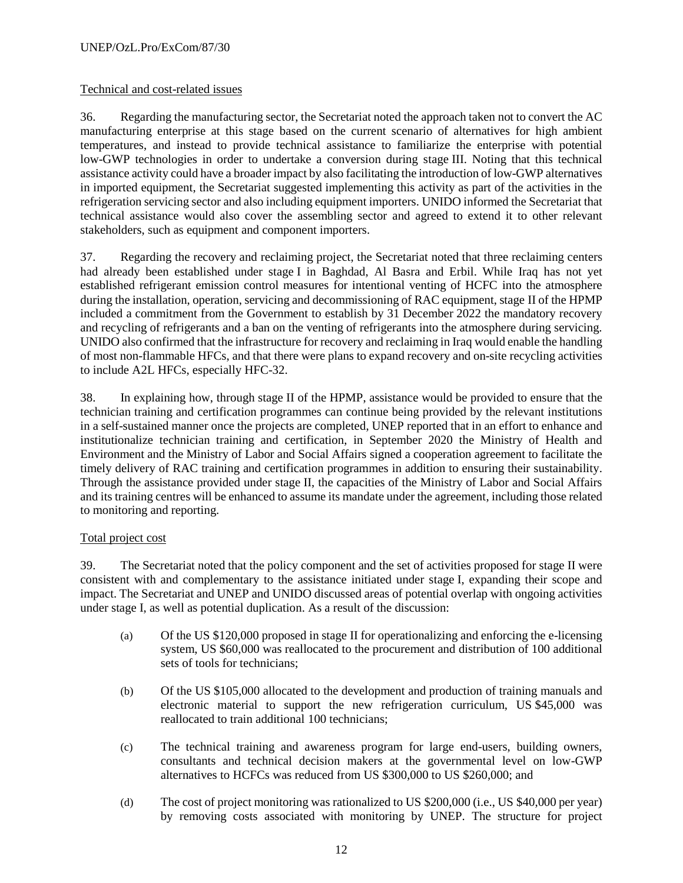# Technical and cost-related issues

36. Regarding the manufacturing sector, the Secretariat noted the approach taken not to convert the AC manufacturing enterprise at this stage based on the current scenario of alternatives for high ambient temperatures, and instead to provide technical assistance to familiarize the enterprise with potential low-GWP technologies in order to undertake a conversion during stage III. Noting that this technical assistance activity could have a broader impact by also facilitating the introduction of low-GWP alternatives in imported equipment, the Secretariat suggested implementing this activity as part of the activities in the refrigeration servicing sector and also including equipment importers. UNIDO informed the Secretariat that technical assistance would also cover the assembling sector and agreed to extend it to other relevant stakeholders, such as equipment and component importers.

37. Regarding the recovery and reclaiming project, the Secretariat noted that three reclaiming centers had already been established under stage I in Baghdad, Al Basra and Erbil. While Iraq has not yet established refrigerant emission control measures for intentional venting of HCFC into the atmosphere during the installation, operation, servicing and decommissioning of RAC equipment, stage II of the HPMP included a commitment from the Government to establish by 31 December 2022 the mandatory recovery and recycling of refrigerants and a ban on the venting of refrigerants into the atmosphere during servicing. UNIDO also confirmed that the infrastructure for recovery and reclaiming in Iraq would enable the handling of most non-flammable HFCs, and that there were plans to expand recovery and on-site recycling activities to include A2L HFCs, especially HFC-32.

38. In explaining how, through stage II of the HPMP, assistance would be provided to ensure that the technician training and certification programmes can continue being provided by the relevant institutions in a self-sustained manner once the projects are completed, UNEP reported that in an effort to enhance and institutionalize technician training and certification, in September 2020 the Ministry of Health and Environment and the Ministry of Labor and Social Affairs signed a cooperation agreement to facilitate the timely delivery of RAC training and certification programmes in addition to ensuring their sustainability. Through the assistance provided under stage II, the capacities of the Ministry of Labor and Social Affairs and its training centres will be enhanced to assume its mandate under the agreement, including those related to monitoring and reporting.

#### Total project cost

39. The Secretariat noted that the policy component and the set of activities proposed for stage II were consistent with and complementary to the assistance initiated under stage I, expanding their scope and impact. The Secretariat and UNEP and UNIDO discussed areas of potential overlap with ongoing activities under stage I, as well as potential duplication. As a result of the discussion:

- (a) Of the US \$120,000 proposed in stage II for operationalizing and enforcing the e-licensing system, US \$60,000 was reallocated to the procurement and distribution of 100 additional sets of tools for technicians;
- (b) Of the US \$105,000 allocated to the development and production of training manuals and electronic material to support the new refrigeration curriculum, US \$45,000 was reallocated to train additional 100 technicians;
- (c) The technical training and awareness program for large end-users, building owners, consultants and technical decision makers at the governmental level on low-GWP alternatives to HCFCs was reduced from US \$300,000 to US \$260,000; and
- (d) The cost of project monitoring was rationalized to US \$200,000 (i.e., US \$40,000 per year) by removing costs associated with monitoring by UNEP. The structure for project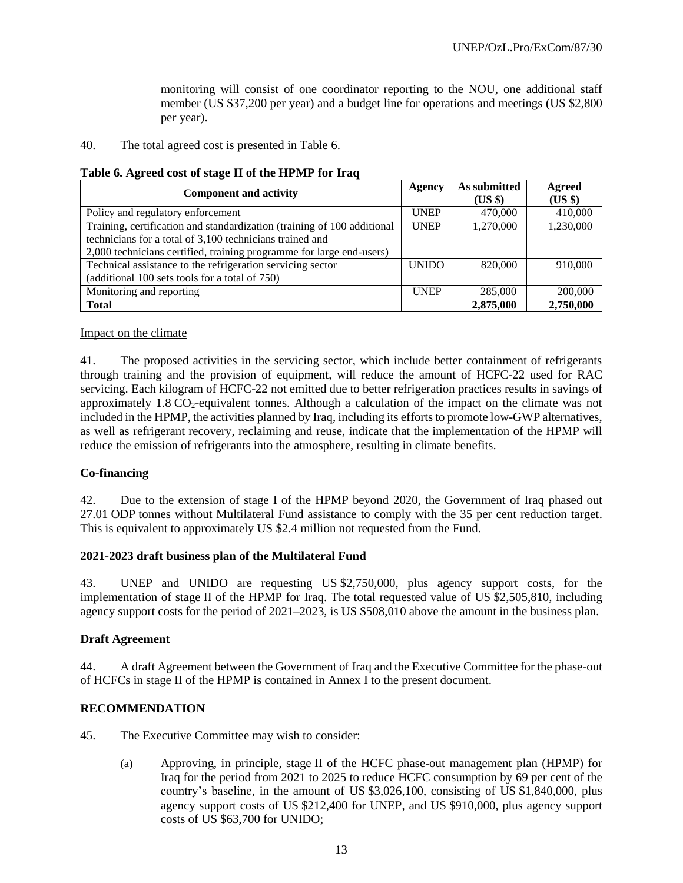monitoring will consist of one coordinator reporting to the NOU, one additional staff member (US \$37,200 per year) and a budget line for operations and meetings (US \$2,800 per year).

40. The total agreed cost is presented in Table 6.

#### **Table 6. Agreed cost of stage II of the HPMP for Iraq**

| <b>Component and activity</b>                                           | Agency       | As submitted<br>$(US \$ | <b>Agreed</b><br>(US \$) |
|-------------------------------------------------------------------------|--------------|-------------------------|--------------------------|
| Policy and regulatory enforcement                                       | <b>UNEP</b>  | 470,000                 | 410,000                  |
| Training, certification and standardization (training of 100 additional | <b>UNEP</b>  | 1,270,000               | 1,230,000                |
| technicians for a total of 3,100 technicians trained and                |              |                         |                          |
| 2,000 technicians certified, training programme for large end-users)    |              |                         |                          |
| Technical assistance to the refrigeration servicing sector              | <b>UNIDO</b> | 820,000                 | 910,000                  |
| (additional 100 sets tools for a total of 750)                          |              |                         |                          |
| Monitoring and reporting                                                | <b>UNEP</b>  | 285,000                 | 200,000                  |
| <b>Total</b>                                                            |              | 2,875,000               | 2,750,000                |

#### Impact on the climate

41. The proposed activities in the servicing sector, which include better containment of refrigerants through training and the provision of equipment, will reduce the amount of HCFC-22 used for RAC servicing. Each kilogram of HCFC-22 not emitted due to better refrigeration practices results in savings of approximately  $1.8 \text{ CO}_2$ -equivalent tonnes. Although a calculation of the impact on the climate was not included in the HPMP, the activities planned by Iraq, including its efforts to promote low-GWP alternatives, as well as refrigerant recovery, reclaiming and reuse, indicate that the implementation of the HPMP will reduce the emission of refrigerants into the atmosphere, resulting in climate benefits.

#### **Co-financing**

42. Due to the extension of stage I of the HPMP beyond 2020, the Government of Iraq phased out 27.01 ODP tonnes without Multilateral Fund assistance to comply with the 35 per cent reduction target. This is equivalent to approximately US \$2.4 million not requested from the Fund.

#### **2021-2023 draft business plan of the Multilateral Fund**

43. UNEP and UNIDO are requesting US \$2,750,000, plus agency support costs, for the implementation of stage II of the HPMP for Iraq. The total requested value of US \$2,505,810, including agency support costs for the period of 2021–2023, is US \$508,010 above the amount in the business plan.

#### **Draft Agreement**

44. A draft Agreement between the Government of Iraq and the Executive Committee for the phase-out of HCFCs in stage II of the HPMP is contained in Annex I to the present document.

#### **RECOMMENDATION**

- 45. The Executive Committee may wish to consider:
	- (a) Approving, in principle, stage II of the HCFC phase-out management plan (HPMP) for Iraq for the period from 2021 to 2025 to reduce HCFC consumption by 69 per cent of the country's baseline, in the amount of US \$3,026,100, consisting of US \$1,840,000, plus agency support costs of US \$212,400 for UNEP, and US \$910,000, plus agency support costs of US \$63,700 for UNIDO;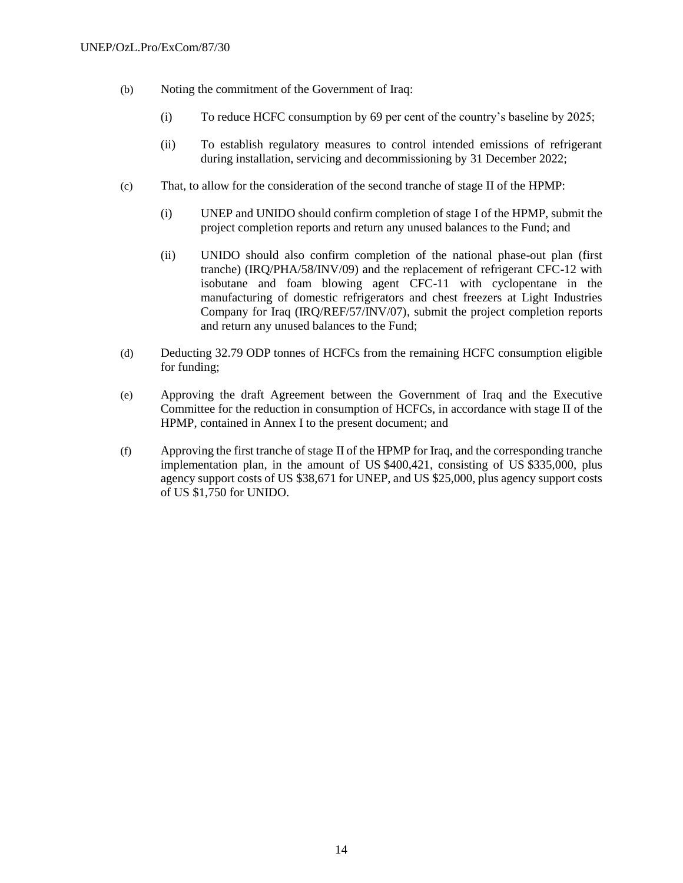- (b) Noting the commitment of the Government of Iraq:
	- (i) To reduce HCFC consumption by 69 per cent of the country's baseline by 2025;
	- (ii) To establish regulatory measures to control intended emissions of refrigerant during installation, servicing and decommissioning by 31 December 2022;
- (c) That, to allow for the consideration of the second tranche of stage II of the HPMP:
	- (i) UNEP and UNIDO should confirm completion of stage I of the HPMP, submit the project completion reports and return any unused balances to the Fund; and
	- (ii) UNIDO should also confirm completion of the national phase-out plan (first tranche) (IRQ/PHA/58/INV/09) and the replacement of refrigerant CFC-12 with isobutane and foam blowing agent CFC-11 with cyclopentane in the manufacturing of domestic refrigerators and chest freezers at Light Industries Company for Iraq (IRQ/REF/57/INV/07), submit the project completion reports and return any unused balances to the Fund;
- (d) Deducting 32.79 ODP tonnes of HCFCs from the remaining HCFC consumption eligible for funding;
- (e) Approving the draft Agreement between the Government of Iraq and the Executive Committee for the reduction in consumption of HCFCs, in accordance with stage II of the HPMP, contained in Annex I to the present document; and
- (f) Approving the first tranche of stage II of the HPMP for Iraq, and the corresponding tranche implementation plan, in the amount of US \$400,421, consisting of US \$335,000, plus agency support costs of US \$38,671 for UNEP, and US \$25,000, plus agency support costs of US \$1,750 for UNIDO.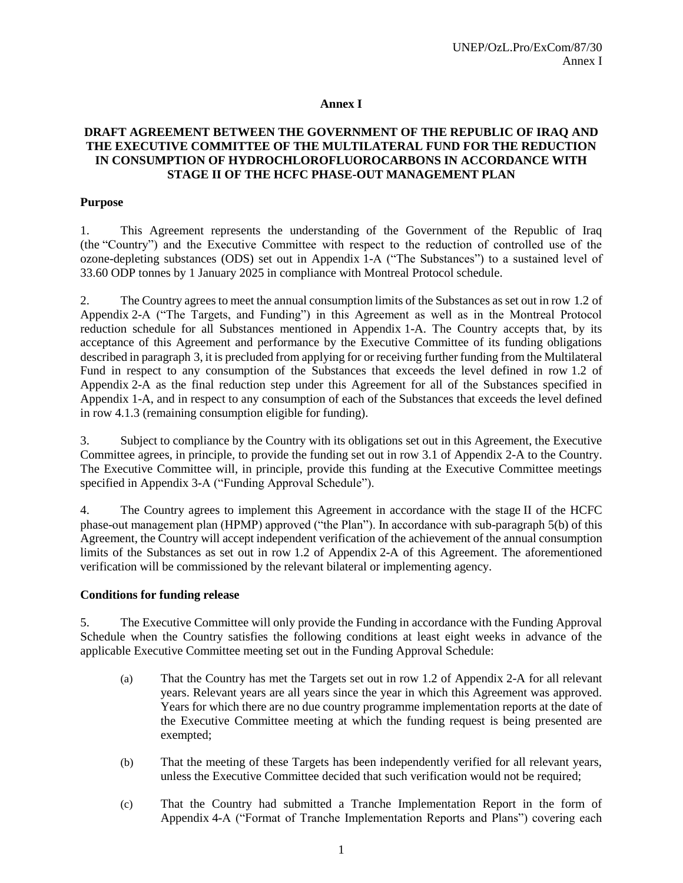#### **Annex I**

#### **DRAFT AGREEMENT BETWEEN THE GOVERNMENT OF THE REPUBLIC OF IRAQ AND THE EXECUTIVE COMMITTEE OF THE MULTILATERAL FUND FOR THE REDUCTION IN CONSUMPTION OF HYDROCHLOROFLUOROCARBONS IN ACCORDANCE WITH STAGE II OF THE HCFC PHASE-OUT MANAGEMENT PLAN**

#### **Purpose**

1. This Agreement represents the understanding of the Government of the Republic of Iraq (the "Country") and the Executive Committee with respect to the reduction of controlled use of the ozone-depleting substances (ODS) set out in Appendix 1-A ("The Substances") to a sustained level of 33.60 ODP tonnes by 1 January 2025 in compliance with Montreal Protocol schedule.

2. The Country agrees to meet the annual consumption limits of the Substances as set out in row 1.2 of Appendix 2-A ("The Targets, and Funding") in this Agreement as well as in the Montreal Protocol reduction schedule for all Substances mentioned in Appendix 1-A. The Country accepts that, by its acceptance of this Agreement and performance by the Executive Committee of its funding obligations described in paragraph 3, it is precluded from applying for or receiving further funding from the Multilateral Fund in respect to any consumption of the Substances that exceeds the level defined in row 1.2 of Appendix 2-A as the final reduction step under this Agreement for all of the Substances specified in Appendix 1-A, and in respect to any consumption of each of the Substances that exceeds the level defined in row 4.1.3 (remaining consumption eligible for funding).

3. Subject to compliance by the Country with its obligations set out in this Agreement, the Executive Committee agrees, in principle, to provide the funding set out in row 3.1 of Appendix 2-A to the Country. The Executive Committee will, in principle, provide this funding at the Executive Committee meetings specified in Appendix 3-A ("Funding Approval Schedule").

4. The Country agrees to implement this Agreement in accordance with the stage II of the HCFC phase-out management plan (HPMP) approved ("the Plan"). In accordance with sub-paragraph 5(b) of this Agreement, the Country will accept independent verification of the achievement of the annual consumption limits of the Substances as set out in row 1.2 of Appendix 2-A of this Agreement. The aforementioned verification will be commissioned by the relevant bilateral or implementing agency.

#### **Conditions for funding release**

5. The Executive Committee will only provide the Funding in accordance with the Funding Approval Schedule when the Country satisfies the following conditions at least eight weeks in advance of the applicable Executive Committee meeting set out in the Funding Approval Schedule:

- (a) That the Country has met the Targets set out in row 1.2 of Appendix 2-A for all relevant years. Relevant years are all years since the year in which this Agreement was approved. Years for which there are no due country programme implementation reports at the date of the Executive Committee meeting at which the funding request is being presented are exempted;
- (b) That the meeting of these Targets has been independently verified for all relevant years, unless the Executive Committee decided that such verification would not be required;
- (c) That the Country had submitted a Tranche Implementation Report in the form of Appendix 4-A ("Format of Tranche Implementation Reports and Plans") covering each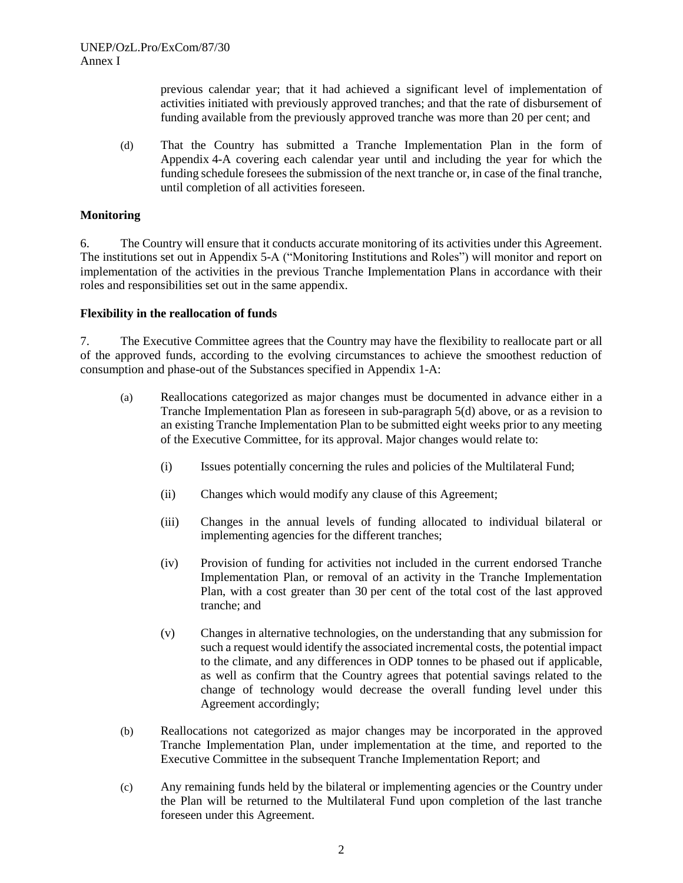previous calendar year; that it had achieved a significant level of implementation of activities initiated with previously approved tranches; and that the rate of disbursement of funding available from the previously approved tranche was more than 20 per cent; and

(d) That the Country has submitted a Tranche Implementation Plan in the form of Appendix 4-A covering each calendar year until and including the year for which the funding schedule foresees the submission of the next tranche or, in case of the final tranche, until completion of all activities foreseen.

#### **Monitoring**

6. The Country will ensure that it conducts accurate monitoring of its activities under this Agreement. The institutions set out in Appendix 5-A ("Monitoring Institutions and Roles") will monitor and report on implementation of the activities in the previous Tranche Implementation Plans in accordance with their roles and responsibilities set out in the same appendix.

#### **Flexibility in the reallocation of funds**

7. The Executive Committee agrees that the Country may have the flexibility to reallocate part or all of the approved funds, according to the evolving circumstances to achieve the smoothest reduction of consumption and phase-out of the Substances specified in Appendix 1-A:

- (a) Reallocations categorized as major changes must be documented in advance either in a Tranche Implementation Plan as foreseen in sub-paragraph 5(d) above, or as a revision to an existing Tranche Implementation Plan to be submitted eight weeks prior to any meeting of the Executive Committee, for its approval. Major changes would relate to:
	- (i) Issues potentially concerning the rules and policies of the Multilateral Fund;
	- (ii) Changes which would modify any clause of this Agreement;
	- (iii) Changes in the annual levels of funding allocated to individual bilateral or implementing agencies for the different tranches;
	- (iv) Provision of funding for activities not included in the current endorsed Tranche Implementation Plan, or removal of an activity in the Tranche Implementation Plan, with a cost greater than 30 per cent of the total cost of the last approved tranche; and
	- (v) Changes in alternative technologies, on the understanding that any submission for such a request would identify the associated incremental costs, the potential impact to the climate, and any differences in ODP tonnes to be phased out if applicable, as well as confirm that the Country agrees that potential savings related to the change of technology would decrease the overall funding level under this Agreement accordingly;
- (b) Reallocations not categorized as major changes may be incorporated in the approved Tranche Implementation Plan, under implementation at the time, and reported to the Executive Committee in the subsequent Tranche Implementation Report; and
- (c) Any remaining funds held by the bilateral or implementing agencies or the Country under the Plan will be returned to the Multilateral Fund upon completion of the last tranche foreseen under this Agreement.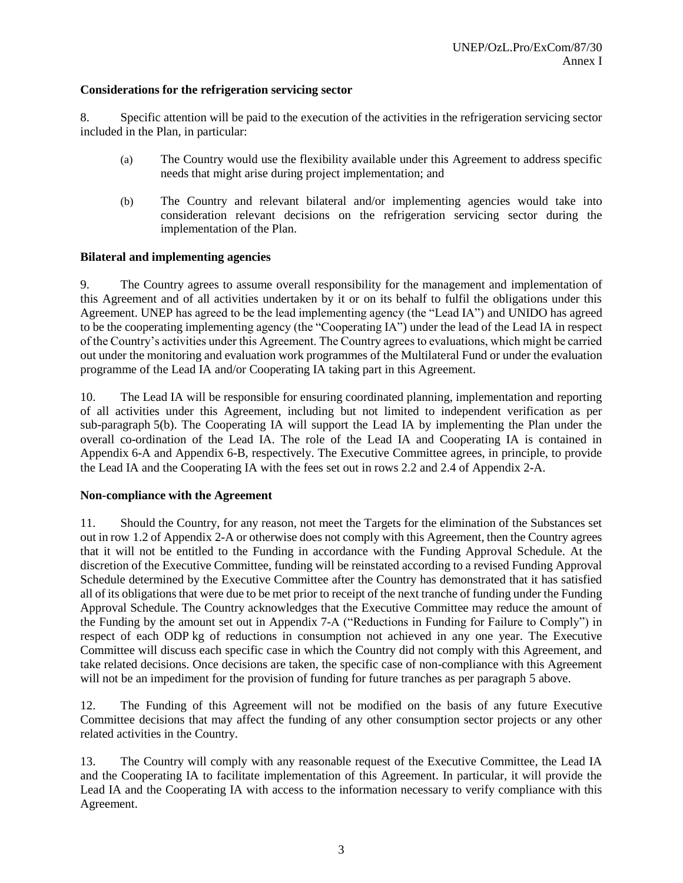#### **Considerations for the refrigeration servicing sector**

8. Specific attention will be paid to the execution of the activities in the refrigeration servicing sector included in the Plan, in particular:

- (a) The Country would use the flexibility available under this Agreement to address specific needs that might arise during project implementation; and
- (b) The Country and relevant bilateral and/or implementing agencies would take into consideration relevant decisions on the refrigeration servicing sector during the implementation of the Plan.

#### **Bilateral and implementing agencies**

9. The Country agrees to assume overall responsibility for the management and implementation of this Agreement and of all activities undertaken by it or on its behalf to fulfil the obligations under this Agreement. UNEP has agreed to be the lead implementing agency (the "Lead IA") and UNIDO has agreed to be the cooperating implementing agency (the "Cooperating IA") under the lead of the Lead IA in respect of the Country's activities under this Agreement. The Country agrees to evaluations, which might be carried out under the monitoring and evaluation work programmes of the Multilateral Fund or under the evaluation programme of the Lead IA and/or Cooperating IA taking part in this Agreement.

10. The Lead IA will be responsible for ensuring coordinated planning, implementation and reporting of all activities under this Agreement, including but not limited to independent verification as per sub-paragraph 5(b). The Cooperating IA will support the Lead IA by implementing the Plan under the overall co-ordination of the Lead IA. The role of the Lead IA and Cooperating IA is contained in Appendix 6-A and Appendix 6-B, respectively. The Executive Committee agrees, in principle, to provide the Lead IA and the Cooperating IA with the fees set out in rows 2.2 and 2.4 of Appendix 2-A.

#### **Non-compliance with the Agreement**

11. Should the Country, for any reason, not meet the Targets for the elimination of the Substances set out in row 1.2 of Appendix 2-A or otherwise does not comply with this Agreement, then the Country agrees that it will not be entitled to the Funding in accordance with the Funding Approval Schedule. At the discretion of the Executive Committee, funding will be reinstated according to a revised Funding Approval Schedule determined by the Executive Committee after the Country has demonstrated that it has satisfied all of its obligations that were due to be met prior to receipt of the next tranche of funding under the Funding Approval Schedule. The Country acknowledges that the Executive Committee may reduce the amount of the Funding by the amount set out in Appendix 7-A ("Reductions in Funding for Failure to Comply") in respect of each ODP kg of reductions in consumption not achieved in any one year. The Executive Committee will discuss each specific case in which the Country did not comply with this Agreement, and take related decisions. Once decisions are taken, the specific case of non-compliance with this Agreement will not be an impediment for the provision of funding for future tranches as per paragraph 5 above.

12. The Funding of this Agreement will not be modified on the basis of any future Executive Committee decisions that may affect the funding of any other consumption sector projects or any other related activities in the Country.

13. The Country will comply with any reasonable request of the Executive Committee, the Lead IA and the Cooperating IA to facilitate implementation of this Agreement. In particular, it will provide the Lead IA and the Cooperating IA with access to the information necessary to verify compliance with this Agreement.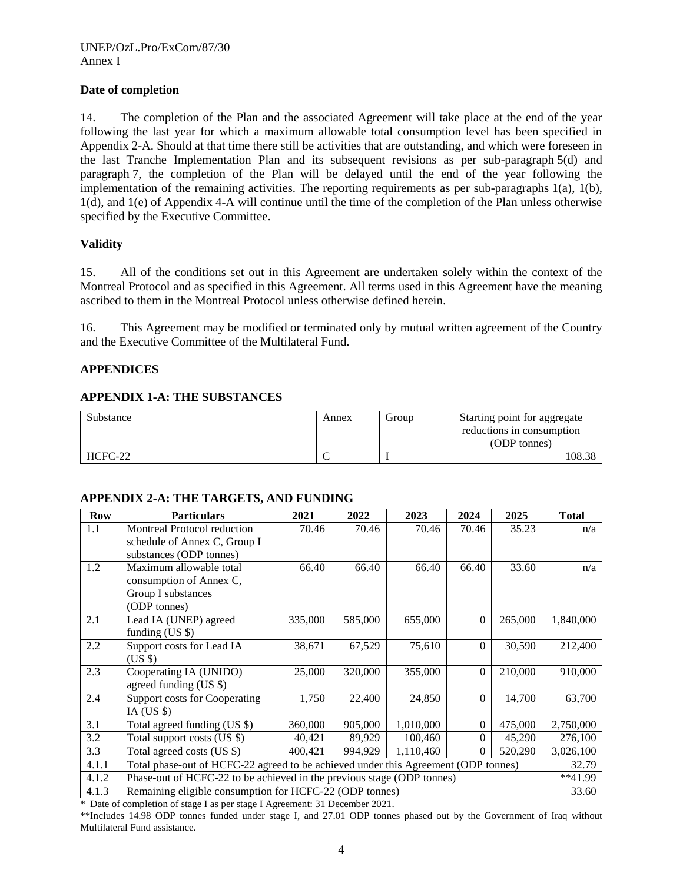#### **Date of completion**

14. The completion of the Plan and the associated Agreement will take place at the end of the year following the last year for which a maximum allowable total consumption level has been specified in Appendix 2-A. Should at that time there still be activities that are outstanding, and which were foreseen in the last Tranche Implementation Plan and its subsequent revisions as per sub-paragraph 5(d) and paragraph 7, the completion of the Plan will be delayed until the end of the year following the implementation of the remaining activities. The reporting requirements as per sub-paragraphs 1(a), 1(b), 1(d), and 1(e) of Appendix 4-A will continue until the time of the completion of the Plan unless otherwise specified by the Executive Committee.

## **Validity**

15. All of the conditions set out in this Agreement are undertaken solely within the context of the Montreal Protocol and as specified in this Agreement. All terms used in this Agreement have the meaning ascribed to them in the Montreal Protocol unless otherwise defined herein.

16. This Agreement may be modified or terminated only by mutual written agreement of the Country and the Executive Committee of the Multilateral Fund.

#### **APPENDICES**

#### **APPENDIX 1-A: THE SUBSTANCES**

| Substance | Annex | Group | Starting point for aggregate<br>reductions in consumption |  |
|-----------|-------|-------|-----------------------------------------------------------|--|
|           |       |       | (ODP tonnes)                                              |  |
| HCFC-22   |       |       | 108.38                                                    |  |

#### **APPENDIX 2-A: THE TARGETS, AND FUNDING**

| <b>Row</b> | <b>Particulars</b>                                                                 | 2021    | 2022    | 2023      | 2024     | 2025    | <b>Total</b> |  |
|------------|------------------------------------------------------------------------------------|---------|---------|-----------|----------|---------|--------------|--|
| 1.1        | Montreal Protocol reduction                                                        | 70.46   | 70.46   | 70.46     | 70.46    | 35.23   | n/a          |  |
|            | schedule of Annex C, Group I                                                       |         |         |           |          |         |              |  |
|            | substances (ODP tonnes)                                                            |         |         |           |          |         |              |  |
| 1.2        | Maximum allowable total                                                            | 66.40   | 66.40   | 66.40     | 66.40    | 33.60   | n/a          |  |
|            | consumption of Annex C,                                                            |         |         |           |          |         |              |  |
|            | Group I substances                                                                 |         |         |           |          |         |              |  |
|            | (ODP tonnes)                                                                       |         |         |           |          |         |              |  |
| 2.1        | Lead IA (UNEP) agreed                                                              | 335,000 | 585,000 | 655,000   | $\Omega$ | 265,000 | 1,840,000    |  |
|            | funding $(US \$                                                                    |         |         |           |          |         |              |  |
| 2.2        | Support costs for Lead IA                                                          | 38,671  | 67,529  | 75,610    | $\Omega$ | 30,590  | 212,400      |  |
|            | $(US \$                                                                            |         |         |           |          |         |              |  |
| 2.3        | Cooperating IA (UNIDO)                                                             | 25,000  | 320,000 | 355,000   | $\theta$ | 210,000 | 910,000      |  |
|            | agreed funding (US \$)                                                             |         |         |           |          |         |              |  |
| 2.4        | <b>Support costs for Cooperating</b>                                               | 1,750   | 22,400  | 24,850    | $\Omega$ | 14,700  | 63,700       |  |
|            | IA (US $\$ )                                                                       |         |         |           |          |         |              |  |
| 3.1        | Total agreed funding (US \$)                                                       | 360,000 | 905,000 | 1,010,000 | $\Omega$ | 475,000 | 2,750,000    |  |
| 3.2        | Total support costs (US \$)                                                        | 40,421  | 89,929  | 100,460   | 0        | 45,290  | 276,100      |  |
| 3.3        | Total agreed costs (US \$)                                                         | 400,421 | 994,929 | 1,110,460 | 0        | 520,290 | 3,026,100    |  |
| 4.1.1      | Total phase-out of HCFC-22 agreed to be achieved under this Agreement (ODP tonnes) |         |         |           |          |         |              |  |
| 4.1.2      | Phase-out of HCFC-22 to be achieved in the previous stage (ODP tonnes)             |         |         |           |          |         |              |  |
| 4.1.3      | Remaining eligible consumption for HCFC-22 (ODP tonnes)                            |         |         |           |          |         |              |  |

\* Date of completion of stage I as per stage I Agreement: 31 December 2021.

\*\*Includes 14.98 ODP tonnes funded under stage I, and 27.01 ODP tonnes phased out by the Government of Iraq without Multilateral Fund assistance.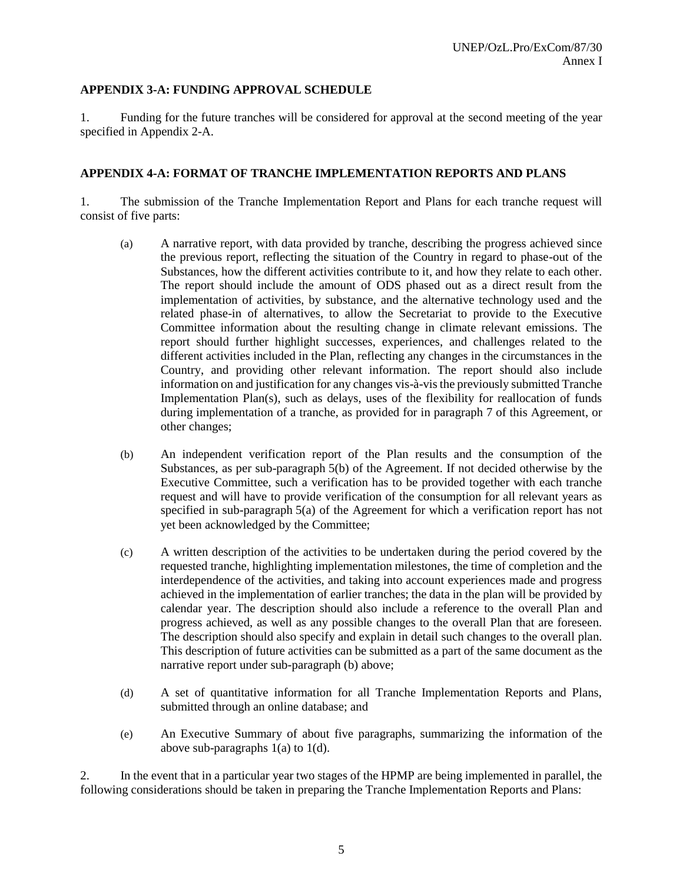#### **APPENDIX 3-A: FUNDING APPROVAL SCHEDULE**

1. Funding for the future tranches will be considered for approval at the second meeting of the year specified in Appendix 2-A.

#### **APPENDIX 4-A: FORMAT OF TRANCHE IMPLEMENTATION REPORTS AND PLANS**

1. The submission of the Tranche Implementation Report and Plans for each tranche request will consist of five parts:

- (a) A narrative report, with data provided by tranche, describing the progress achieved since the previous report, reflecting the situation of the Country in regard to phase-out of the Substances, how the different activities contribute to it, and how they relate to each other. The report should include the amount of ODS phased out as a direct result from the implementation of activities, by substance, and the alternative technology used and the related phase-in of alternatives, to allow the Secretariat to provide to the Executive Committee information about the resulting change in climate relevant emissions. The report should further highlight successes, experiences, and challenges related to the different activities included in the Plan, reflecting any changes in the circumstances in the Country, and providing other relevant information. The report should also include information on and justification for any changes vis-à-vis the previously submitted Tranche Implementation Plan(s), such as delays, uses of the flexibility for reallocation of funds during implementation of a tranche, as provided for in paragraph 7 of this Agreement, or other changes;
- (b) An independent verification report of the Plan results and the consumption of the Substances, as per sub-paragraph 5(b) of the Agreement. If not decided otherwise by the Executive Committee, such a verification has to be provided together with each tranche request and will have to provide verification of the consumption for all relevant years as specified in sub-paragraph 5(a) of the Agreement for which a verification report has not yet been acknowledged by the Committee;
- (c) A written description of the activities to be undertaken during the period covered by the requested tranche, highlighting implementation milestones, the time of completion and the interdependence of the activities, and taking into account experiences made and progress achieved in the implementation of earlier tranches; the data in the plan will be provided by calendar year. The description should also include a reference to the overall Plan and progress achieved, as well as any possible changes to the overall Plan that are foreseen. The description should also specify and explain in detail such changes to the overall plan. This description of future activities can be submitted as a part of the same document as the narrative report under sub-paragraph (b) above;
- (d) A set of quantitative information for all Tranche Implementation Reports and Plans, submitted through an online database; and
- (e) An Executive Summary of about five paragraphs, summarizing the information of the above sub-paragraphs  $1(a)$  to  $1(d)$ .

2. In the event that in a particular year two stages of the HPMP are being implemented in parallel, the following considerations should be taken in preparing the Tranche Implementation Reports and Plans: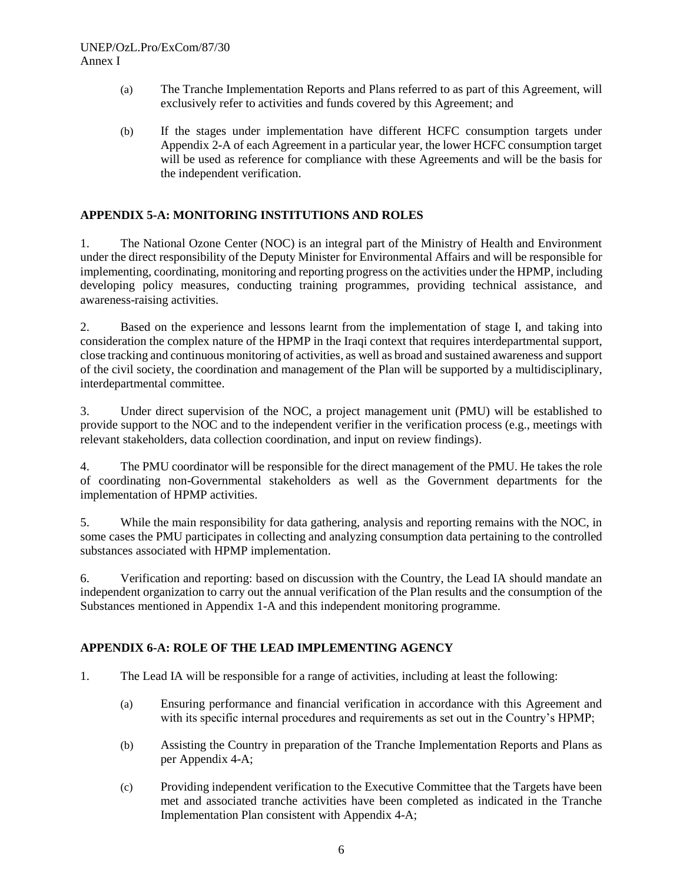#### UNEP/OzL.Pro/ExCom/87/30 Annex I

- (a) The Tranche Implementation Reports and Plans referred to as part of this Agreement, will exclusively refer to activities and funds covered by this Agreement; and
- (b) If the stages under implementation have different HCFC consumption targets under Appendix 2-A of each Agreement in a particular year, the lower HCFC consumption target will be used as reference for compliance with these Agreements and will be the basis for the independent verification.

# **APPENDIX 5-A: MONITORING INSTITUTIONS AND ROLES**

1. The National Ozone Center (NOC) is an integral part of the Ministry of Health and Environment under the direct responsibility of the Deputy Minister for Environmental Affairs and will be responsible for implementing, coordinating, monitoring and reporting progress on the activities under the HPMP, including developing policy measures, conducting training programmes, providing technical assistance, and awareness-raising activities.

2. Based on the experience and lessons learnt from the implementation of stage I, and taking into consideration the complex nature of the HPMP in the Iraqi context that requires interdepartmental support, close tracking and continuous monitoring of activities, as well as broad and sustained awareness and support of the civil society, the coordination and management of the Plan will be supported by a multidisciplinary, interdepartmental committee.

3. Under direct supervision of the NOC, a project management unit (PMU) will be established to provide support to the NOC and to the independent verifier in the verification process (e.g., meetings with relevant stakeholders, data collection coordination, and input on review findings).

4. The PMU coordinator will be responsible for the direct management of the PMU. He takes the role of coordinating non-Governmental stakeholders as well as the Government departments for the implementation of HPMP activities.

5. While the main responsibility for data gathering, analysis and reporting remains with the NOC, in some cases the PMU participates in collecting and analyzing consumption data pertaining to the controlled substances associated with HPMP implementation.

6. Verification and reporting: based on discussion with the Country, the Lead IA should mandate an independent organization to carry out the annual verification of the Plan results and the consumption of the Substances mentioned in Appendix 1-A and this independent monitoring programme.

# **APPENDIX 6-A: ROLE OF THE LEAD IMPLEMENTING AGENCY**

- 1. The Lead IA will be responsible for a range of activities, including at least the following:
	- (a) Ensuring performance and financial verification in accordance with this Agreement and with its specific internal procedures and requirements as set out in the Country's HPMP;
	- (b) Assisting the Country in preparation of the Tranche Implementation Reports and Plans as per Appendix 4-A;
	- (c) Providing independent verification to the Executive Committee that the Targets have been met and associated tranche activities have been completed as indicated in the Tranche Implementation Plan consistent with Appendix 4-A;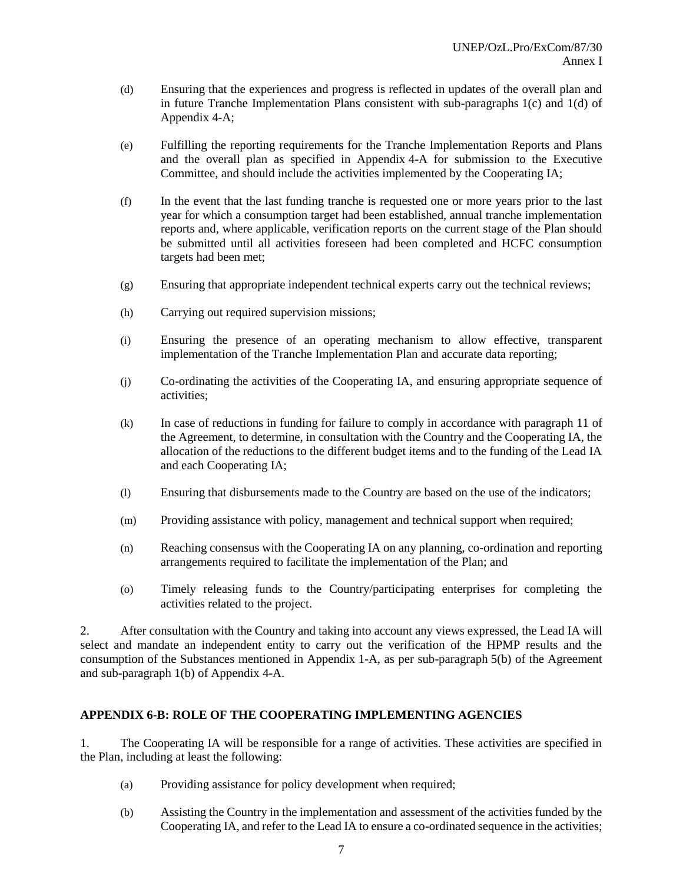- (d) Ensuring that the experiences and progress is reflected in updates of the overall plan and in future Tranche Implementation Plans consistent with sub-paragraphs  $1(c)$  and  $1(d)$  of Appendix 4-A;
- (e) Fulfilling the reporting requirements for the Tranche Implementation Reports and Plans and the overall plan as specified in Appendix 4-A for submission to the Executive Committee, and should include the activities implemented by the Cooperating IA;
- (f) In the event that the last funding tranche is requested one or more years prior to the last year for which a consumption target had been established, annual tranche implementation reports and, where applicable, verification reports on the current stage of the Plan should be submitted until all activities foreseen had been completed and HCFC consumption targets had been met;
- (g) Ensuring that appropriate independent technical experts carry out the technical reviews;
- (h) Carrying out required supervision missions;
- (i) Ensuring the presence of an operating mechanism to allow effective, transparent implementation of the Tranche Implementation Plan and accurate data reporting;
- (j) Co-ordinating the activities of the Cooperating IA, and ensuring appropriate sequence of activities;
- (k) In case of reductions in funding for failure to comply in accordance with paragraph 11 of the Agreement, to determine, in consultation with the Country and the Cooperating IA, the allocation of the reductions to the different budget items and to the funding of the Lead IA and each Cooperating IA;
- (l) Ensuring that disbursements made to the Country are based on the use of the indicators;
- (m) Providing assistance with policy, management and technical support when required;
- (n) Reaching consensus with the Cooperating IA on any planning, co-ordination and reporting arrangements required to facilitate the implementation of the Plan; and
- (o) Timely releasing funds to the Country/participating enterprises for completing the activities related to the project.

2. After consultation with the Country and taking into account any views expressed, the Lead IA will select and mandate an independent entity to carry out the verification of the HPMP results and the consumption of the Substances mentioned in Appendix 1-A, as per sub-paragraph 5(b) of the Agreement and sub-paragraph 1(b) of Appendix 4-A.

#### **APPENDIX 6-B: ROLE OF THE COOPERATING IMPLEMENTING AGENCIES**

1. The Cooperating IA will be responsible for a range of activities. These activities are specified in the Plan, including at least the following:

- (a) Providing assistance for policy development when required;
- (b) Assisting the Country in the implementation and assessment of the activities funded by the Cooperating IA, and refer to the Lead IA to ensure a co-ordinated sequence in the activities;